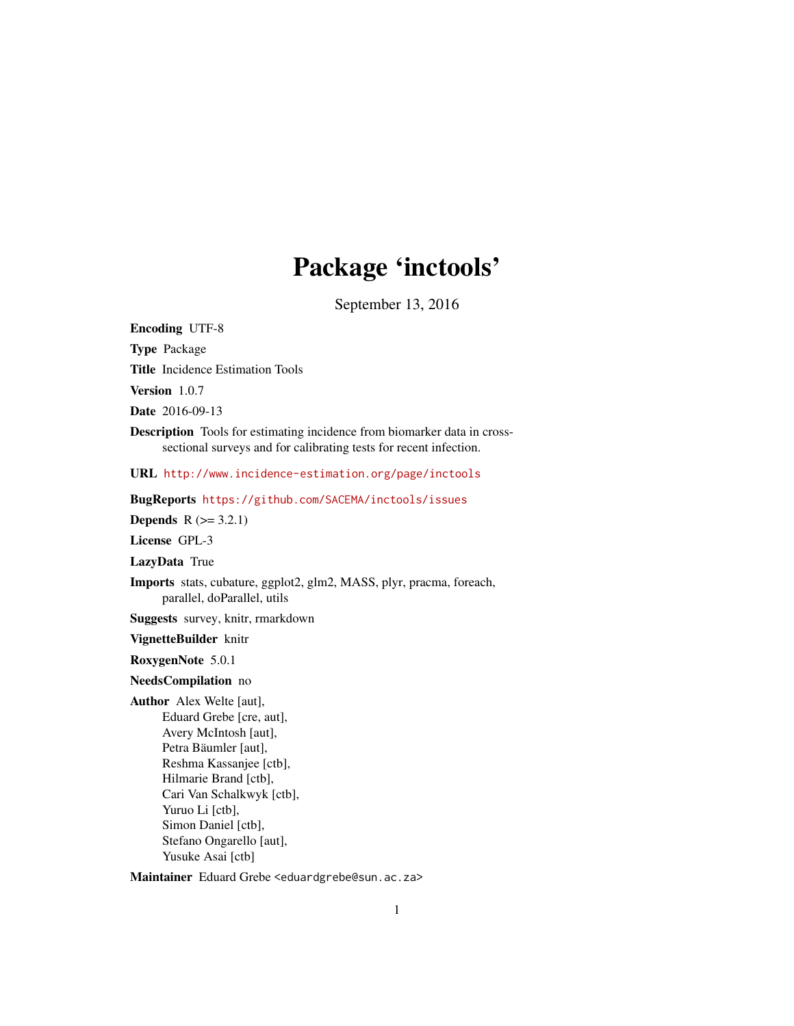# Package 'inctools'

September 13, 2016

Encoding UTF-8 Type Package Title Incidence Estimation Tools Version 1.0.7 Date 2016-09-13 Description Tools for estimating incidence from biomarker data in crosssectional surveys and for calibrating tests for recent infection. URL <http://www.incidence-estimation.org/page/inctools> BugReports <https://github.com/SACEMA/inctools/issues> **Depends**  $R$  ( $>= 3.2.1$ ) License GPL-3 LazyData True Imports stats, cubature, ggplot2, glm2, MASS, plyr, pracma, foreach, parallel, doParallel, utils Suggests survey, knitr, rmarkdown VignetteBuilder knitr RoxygenNote 5.0.1 NeedsCompilation no Author Alex Welte [aut], Eduard Grebe [cre, aut], Avery McIntosh [aut], Petra Bäumler [aut], Reshma Kassanjee [ctb], Hilmarie Brand [ctb], Cari Van Schalkwyk [ctb], Yuruo Li [ctb], Simon Daniel [ctb], Stefano Ongarello [aut],

Yusuke Asai [ctb]

Maintainer Eduard Grebe <eduardgrebe@sun.ac.za>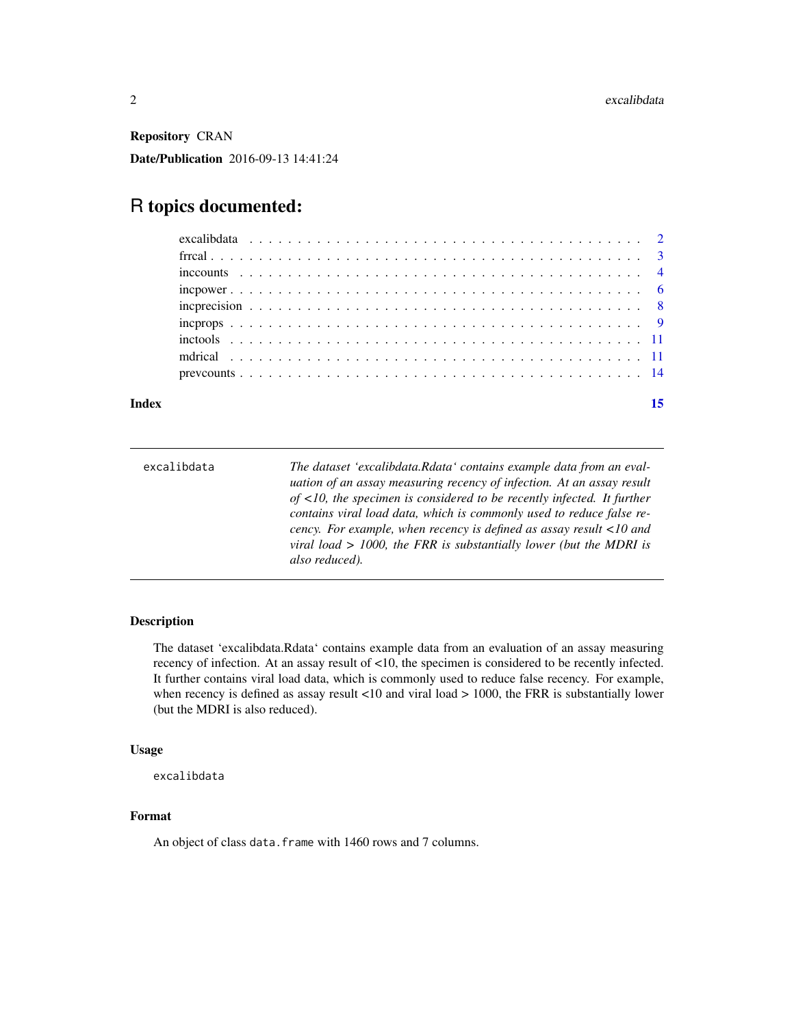<span id="page-1-0"></span>Repository CRAN Date/Publication 2016-09-13 14:41:24

# R topics documented:

| $incpower \dots \dots \dots \dots \dots \dots \dots \dots \dots \dots \dots \dots \dots \dots \dots \dots \dots$ |  |  |  |  |  |  |  |  |  |  |  |  |  |  |  |
|------------------------------------------------------------------------------------------------------------------|--|--|--|--|--|--|--|--|--|--|--|--|--|--|--|
|                                                                                                                  |  |  |  |  |  |  |  |  |  |  |  |  |  |  |  |
|                                                                                                                  |  |  |  |  |  |  |  |  |  |  |  |  |  |  |  |
|                                                                                                                  |  |  |  |  |  |  |  |  |  |  |  |  |  |  |  |
|                                                                                                                  |  |  |  |  |  |  |  |  |  |  |  |  |  |  |  |
|                                                                                                                  |  |  |  |  |  |  |  |  |  |  |  |  |  |  |  |
|                                                                                                                  |  |  |  |  |  |  |  |  |  |  |  |  |  |  |  |

# **Index** [15](#page-14-0)

| excalibdata | The dataset 'excalibdata.Rdata' contains example data from an eval-<br>uation of an assay measuring recency of infection. At an assay result<br>of $\langle 10,$ the specimen is considered to be recently infected. It further<br>contains viral load data, which is commonly used to reduce false re-<br>cency. For example, when recency is defined as assay result $\langle 10 \text{ and}$<br>viral load $> 1000$ , the FRR is substantially lower (but the MDRI is |
|-------------|--------------------------------------------------------------------------------------------------------------------------------------------------------------------------------------------------------------------------------------------------------------------------------------------------------------------------------------------------------------------------------------------------------------------------------------------------------------------------|
|             | also reduced).                                                                                                                                                                                                                                                                                                                                                                                                                                                           |

# Description

The dataset 'excalibdata.Rdata' contains example data from an evaluation of an assay measuring recency of infection. At an assay result of <10, the specimen is considered to be recently infected. It further contains viral load data, which is commonly used to reduce false recency. For example, when recency is defined as assay result <10 and viral load > 1000, the FRR is substantially lower (but the MDRI is also reduced).

# Usage

excalibdata

# Format

An object of class data. frame with 1460 rows and 7 columns.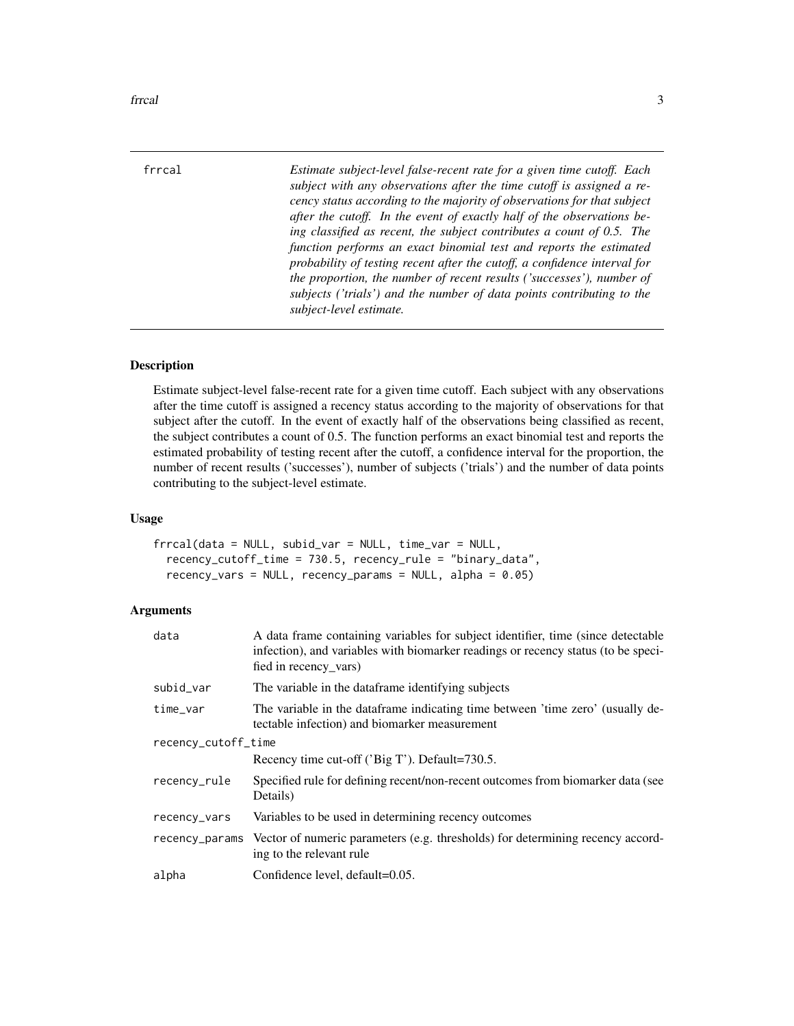<span id="page-2-0"></span>

frrcal *Estimate subject-level false-recent rate for a given time cutoff. Each subject with any observations after the time cutoff is assigned a recency status according to the majority of observations for that subject after the cutoff. In the event of exactly half of the observations being classified as recent, the subject contributes a count of 0.5. The function performs an exact binomial test and reports the estimated probability of testing recent after the cutoff, a confidence interval for the proportion, the number of recent results ('successes'), number of subjects ('trials') and the number of data points contributing to the subject-level estimate.*

#### Description

Estimate subject-level false-recent rate for a given time cutoff. Each subject with any observations after the time cutoff is assigned a recency status according to the majority of observations for that subject after the cutoff. In the event of exactly half of the observations being classified as recent, the subject contributes a count of 0.5. The function performs an exact binomial test and reports the estimated probability of testing recent after the cutoff, a confidence interval for the proportion, the number of recent results ('successes'), number of subjects ('trials') and the number of data points contributing to the subject-level estimate.

#### Usage

```
frrcal(data = NULL, subid_var = NULL, time_var = NULL,recency_cutoff_time = 730.5, recency_rule = "binary_data",
  recency_vars = NULL, recency_params = NULL, alpha = 0.05)
```

| data                | A data frame containing variables for subject identifier, time (since detectable<br>infection), and variables with biomarker readings or recency status (to be speci-<br>fied in recency_vars) |
|---------------------|------------------------------------------------------------------------------------------------------------------------------------------------------------------------------------------------|
| subid_var           | The variable in the dataframe identifying subjects                                                                                                                                             |
| time_var            | The variable in the dataframe indicating time between 'time zero' (usually de-<br>tectable infection) and biomarker measurement                                                                |
| recency_cutoff_time |                                                                                                                                                                                                |
|                     | Recency time cut-off ('Big T'). Default=730.5.                                                                                                                                                 |
| recency_rule        | Specified rule for defining recent/non-recent outcomes from biomarker data (see<br>Details)                                                                                                    |
| recency_vars        | Variables to be used in determining recency outcomes                                                                                                                                           |
| recency_params      | Vector of numeric parameters (e.g. thresholds) for determining recency accord-<br>ing to the relevant rule                                                                                     |
| alpha               | Confidence level, default=0.05.                                                                                                                                                                |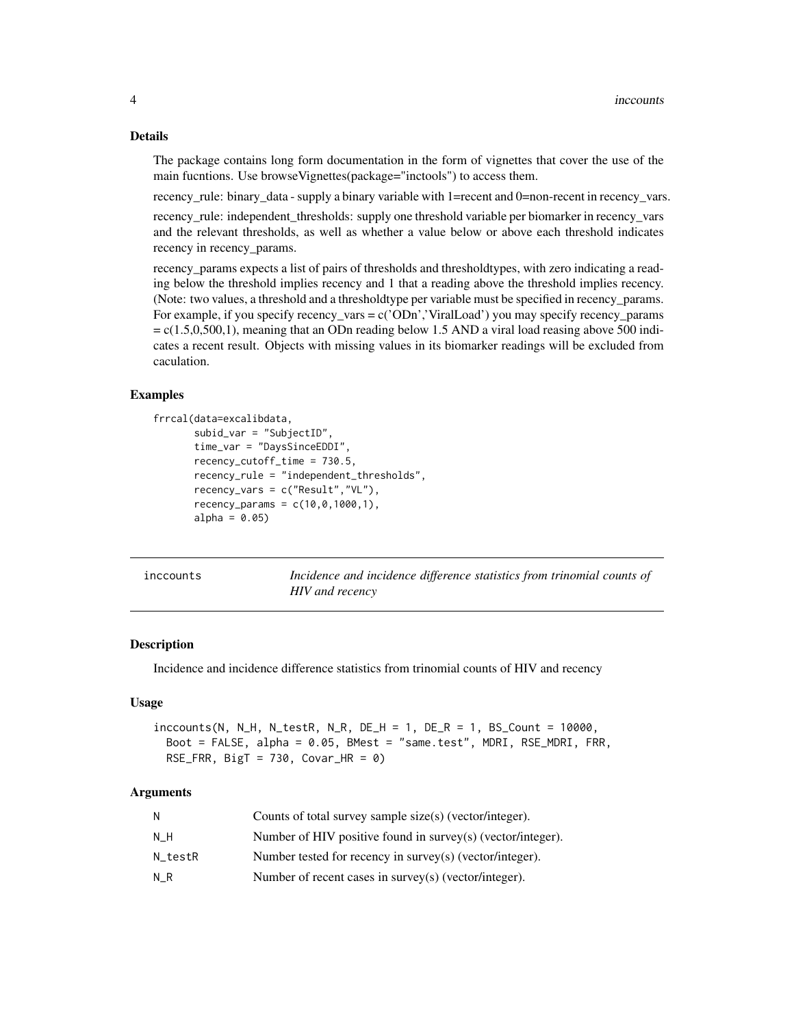#### <span id="page-3-0"></span>Details

The package contains long form documentation in the form of vignettes that cover the use of the main fucntions. Use browseVignettes(package="inctools") to access them.

recency\_rule: binary\_data - supply a binary variable with 1=recent and 0=non-recent in recency\_vars.

recency\_rule: independent\_thresholds: supply one threshold variable per biomarker in recency\_vars and the relevant thresholds, as well as whether a value below or above each threshold indicates recency in recency\_params.

recency\_params expects a list of pairs of thresholds and thresholdtypes, with zero indicating a reading below the threshold implies recency and 1 that a reading above the threshold implies recency. (Note: two values, a threshold and a thresholdtype per variable must be specified in recency\_params. For example, if you specify recency\_vars = c('ODn','ViralLoad') you may specify recency\_params  $= c(1.5,0,500,1)$ , meaning that an ODn reading below 1.5 AND a viral load reasing above 500 indicates a recent result. Objects with missing values in its biomarker readings will be excluded from caculation.

# Examples

```
frrcal(data=excalibdata,
       subid_var = "SubjectID",
       time_var = "DaysSinceEDDI",
       recency_cutoff_time = 730.5,
       recency_rule = "independent_thresholds",
       recency_vars = c("Result","VL"),
       recency\_params = c(10, 0, 1000, 1),alpha = 0.05
```

| inccounts |  |
|-----------|--|
|           |  |
|           |  |
|           |  |

Incidence and incidence difference statistics from trinomial counts of *HIV and recency*

#### Description

Incidence and incidence difference statistics from trinomial counts of HIV and recency

# Usage

```
inccounts(N, N_H, N_testR, N_R, DE_H = 1, DE_R = 1, BS_Count = 10000,Boot = FALSE, alpha = 0.05, BMest = "same.test", MDRI, RSE_MDRI, FRR,
 RSE_FRR, Big = 730, Covar_HR = 0)
```

| N       | Counts of total survey sample size(s) (vector/integer).     |
|---------|-------------------------------------------------------------|
| NН      | Number of HIV positive found in survey(s) (vector/integer). |
| N testR | Number tested for recency in survey(s) (vector/integer).    |
| N R     | Number of recent cases in survey(s) (vector/integer).       |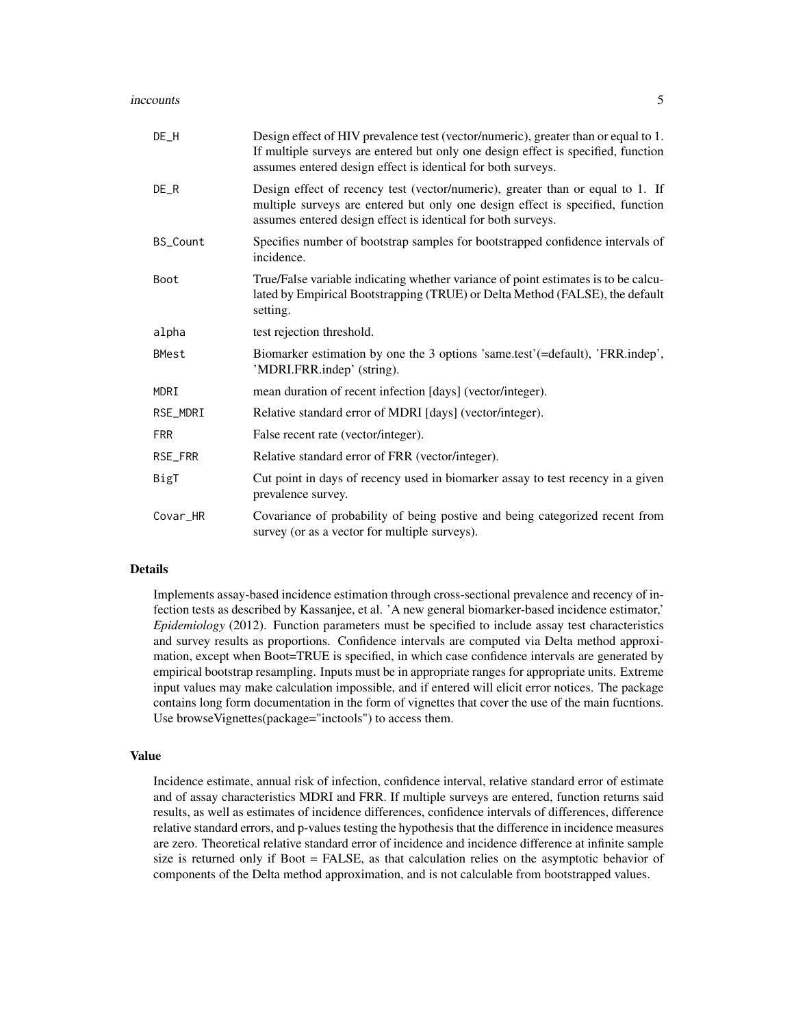#### increducts 5

| $DE_H$       | Design effect of HIV prevalence test (vector/numeric), greater than or equal to 1.<br>If multiple surveys are entered but only one design effect is specified, function<br>assumes entered design effect is identical for both surveys. |
|--------------|-----------------------------------------------------------------------------------------------------------------------------------------------------------------------------------------------------------------------------------------|
| $DE_R$       | Design effect of recency test (vector/numeric), greater than or equal to 1. If<br>multiple surveys are entered but only one design effect is specified, function<br>assumes entered design effect is identical for both surveys.        |
| BS_Count     | Specifies number of bootstrap samples for bootstrapped confidence intervals of<br>incidence.                                                                                                                                            |
| Boot         | True/False variable indicating whether variance of point estimates is to be calcu-<br>lated by Empirical Bootstrapping (TRUE) or Delta Method (FALSE), the default<br>setting.                                                          |
| alpha        | test rejection threshold.                                                                                                                                                                                                               |
| <b>BMest</b> | Biomarker estimation by one the 3 options 'same.test' (=default), 'FRR.indep',<br>'MDRI.FRR.indep' (string).                                                                                                                            |
| MDRI         | mean duration of recent infection [days] (vector/integer).                                                                                                                                                                              |
| RSE_MDRI     | Relative standard error of MDRI [days] (vector/integer).                                                                                                                                                                                |
| <b>FRR</b>   | False recent rate (vector/integer).                                                                                                                                                                                                     |
| RSE_FRR      | Relative standard error of FRR (vector/integer).                                                                                                                                                                                        |
| BigT         | Cut point in days of recency used in biomarker assay to test recency in a given<br>prevalence survey.                                                                                                                                   |
| Covar_HR     | Covariance of probability of being postive and being categorized recent from<br>survey (or as a vector for multiple surveys).                                                                                                           |

# Details

Implements assay-based incidence estimation through cross-sectional prevalence and recency of infection tests as described by Kassanjee, et al. 'A new general biomarker-based incidence estimator,' *Epidemiology* (2012). Function parameters must be specified to include assay test characteristics and survey results as proportions. Confidence intervals are computed via Delta method approximation, except when Boot=TRUE is specified, in which case confidence intervals are generated by empirical bootstrap resampling. Inputs must be in appropriate ranges for appropriate units. Extreme input values may make calculation impossible, and if entered will elicit error notices. The package contains long form documentation in the form of vignettes that cover the use of the main fucntions. Use browseVignettes(package="inctools") to access them.

#### Value

Incidence estimate, annual risk of infection, confidence interval, relative standard error of estimate and of assay characteristics MDRI and FRR. If multiple surveys are entered, function returns said results, as well as estimates of incidence differences, confidence intervals of differences, difference relative standard errors, and p-values testing the hypothesis that the difference in incidence measures are zero. Theoretical relative standard error of incidence and incidence difference at infinite sample size is returned only if Boot = FALSE, as that calculation relies on the asymptotic behavior of components of the Delta method approximation, and is not calculable from bootstrapped values.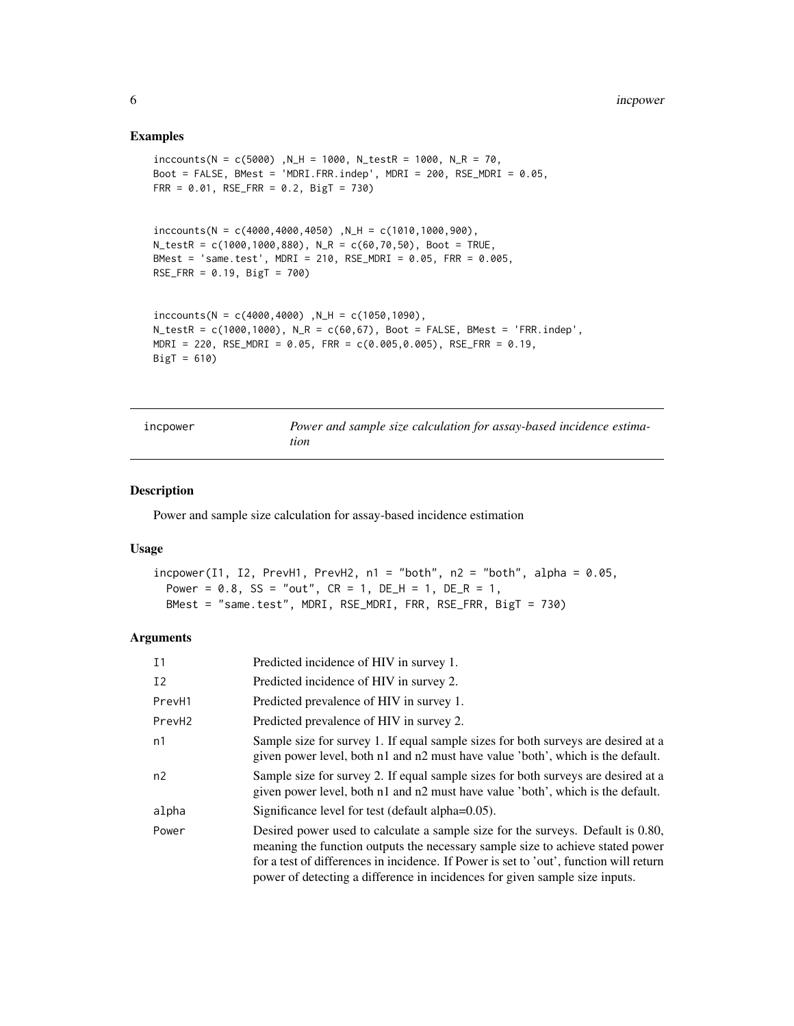#### <span id="page-5-0"></span>Examples

```
inccounts(N = c(5000) , N_H = 1000, N_testR = 1000, N_R = 70,Boot = FALSE, BMest = 'MDRI.FRR.indep', MDRI = 200, RSE_MDRI = 0.05,
FRR = 0.01, RSE_FRR = 0.2, BigT = 730)
inccounts(N = c(4000, 4000, 4050), N_H = c(1010, 1000, 900),
N_ttestR = c(1000,1000,880), N_R = c(60,70,50), Boot = TRUE,
BMest = 'same.test', MDRI = 210, RSE_MDRI = 0.05, FRR = 0.005,
RSE_FRR = 0.19, BigT = 700)
inccounts(N = c(4000, 4000), N_H = c(1050, 1090),
N_t = c(1000,1000), N_R = c(60,67), Boot = FALSE, BMest = 'FRR.indep',
MDRI = 220, RSE_MDRI = 0.05, FR = c(0.005, 0.005), RSE_FRR = 0.19,
Big = 610
```

| incpower | Power and sample size calculation for assay-based incidence estima- |
|----------|---------------------------------------------------------------------|
|          | tion                                                                |

# Description

Power and sample size calculation for assay-based incidence estimation

# Usage

```
incpower(11, 12, PrevH1, PrevH2, n1 = "both", n2 = "both", alpha = 0.05,Power = 0.8, SS = "out", CR = 1, DE_H = 1, DE_R = 1,
 BMest = "same.test", MDRI, RSE_MDRI, FRR, RSE_FRR, BigT = 730)
```

| I <sub>1</sub>     | Predicted incidence of HIV in survey 1.                                                                                                                                                                                                                                                                                                    |
|--------------------|--------------------------------------------------------------------------------------------------------------------------------------------------------------------------------------------------------------------------------------------------------------------------------------------------------------------------------------------|
| I2                 | Predicted incidence of HIV in survey 2.                                                                                                                                                                                                                                                                                                    |
| PrevH1             | Predicted prevalence of HIV in survey 1.                                                                                                                                                                                                                                                                                                   |
| PrevH <sub>2</sub> | Predicted prevalence of HIV in survey 2.                                                                                                                                                                                                                                                                                                   |
| n1                 | Sample size for survey 1. If equal sample sizes for both surveys are desired at a<br>given power level, both n1 and n2 must have value 'both', which is the default.                                                                                                                                                                       |
| n2                 | Sample size for survey 2. If equal sample sizes for both surveys are desired at a<br>given power level, both n1 and n2 must have value 'both', which is the default.                                                                                                                                                                       |
| alpha              | Significance level for test (default alpha=0.05).                                                                                                                                                                                                                                                                                          |
| Power              | Desired power used to calculate a sample size for the surveys. Default is 0.80,<br>meaning the function outputs the necessary sample size to achieve stated power<br>for a test of differences in incidence. If Power is set to 'out', function will return<br>power of detecting a difference in incidences for given sample size inputs. |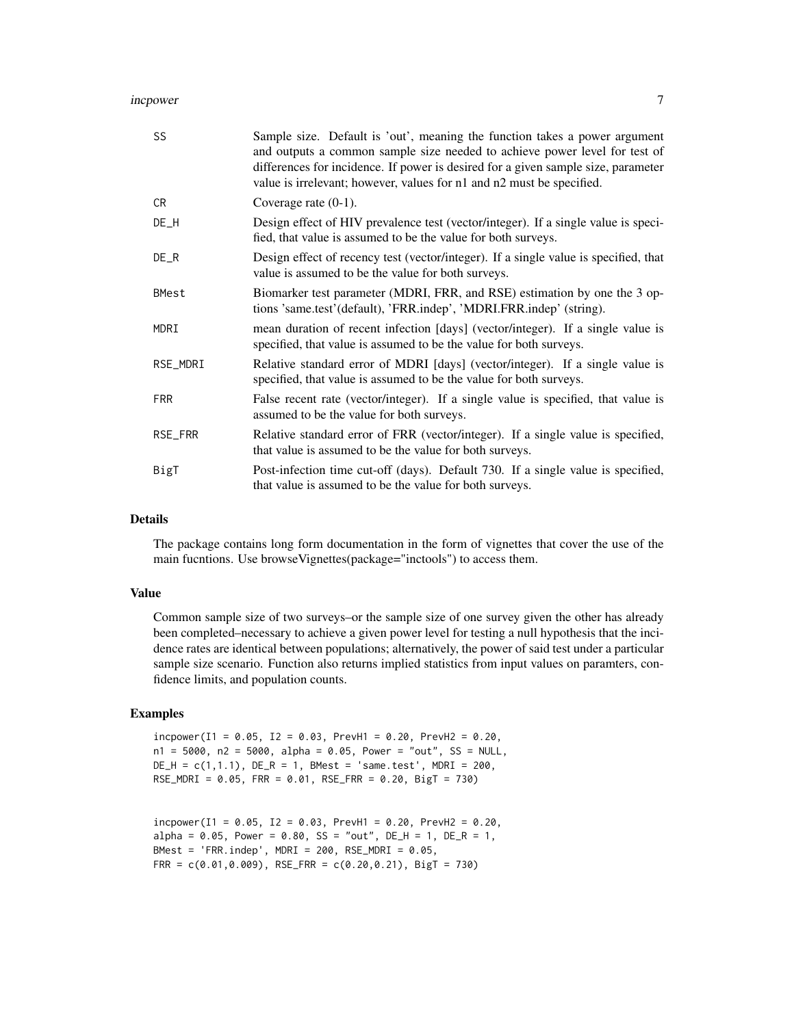#### incrower 7 and 2008 and 2008 and 2008 and 2008 and 2008 and 2008 and 2008 and 2008 and 2008 and 2008 and 2008 and 2008 and 2008 and 2008 and 2008 and 2008 and 2008 and 2008 and 2008 and 2008 and 2008 and 2008 and 2008 and

| SS         | Sample size. Default is 'out', meaning the function takes a power argument<br>and outputs a common sample size needed to achieve power level for test of<br>differences for incidence. If power is desired for a given sample size, parameter<br>value is irrelevant; however, values for n1 and n2 must be specified. |
|------------|------------------------------------------------------------------------------------------------------------------------------------------------------------------------------------------------------------------------------------------------------------------------------------------------------------------------|
| CR.        | Coverage rate $(0-1)$ .                                                                                                                                                                                                                                                                                                |
| $DE_H$     | Design effect of HIV prevalence test (vector/integer). If a single value is speci-<br>fied, that value is assumed to be the value for both surveys.                                                                                                                                                                    |
| $DE_R$     | Design effect of recency test (vector/integer). If a single value is specified, that<br>value is assumed to be the value for both surveys.                                                                                                                                                                             |
| BMest      | Biomarker test parameter (MDRI, FRR, and RSE) estimation by one the 3 op-<br>tions 'same.test'(default), 'FRR.indep', 'MDRI.FRR.indep' (string).                                                                                                                                                                       |
| MDRI       | mean duration of recent infection [days] (vector/integer). If a single value is<br>specified, that value is assumed to be the value for both surveys.                                                                                                                                                                  |
| RSE_MDRI   | Relative standard error of MDRI [days] (vector/integer). If a single value is<br>specified, that value is assumed to be the value for both surveys.                                                                                                                                                                    |
| <b>FRR</b> | False recent rate (vector/integer). If a single value is specified, that value is<br>assumed to be the value for both surveys.                                                                                                                                                                                         |
| RSE_FRR    | Relative standard error of FRR (vector/integer). If a single value is specified,<br>that value is assumed to be the value for both surveys.                                                                                                                                                                            |
| BigT       | Post-infection time cut-off (days). Default 730. If a single value is specified,<br>that value is assumed to be the value for both surveys.                                                                                                                                                                            |

# Details

The package contains long form documentation in the form of vignettes that cover the use of the main fucntions. Use browseVignettes(package="inctools") to access them.

# Value

Common sample size of two surveys–or the sample size of one survey given the other has already been completed–necessary to achieve a given power level for testing a null hypothesis that the incidence rates are identical between populations; alternatively, the power of said test under a particular sample size scenario. Function also returns implied statistics from input values on paramters, confidence limits, and population counts.

## Examples

 $incpower(I1 = 0.05, I2 = 0.03, PrevH1 = 0.20, PrevH2 = 0.20,$  $n1 = 5000$ ,  $n2 = 5000$ , alpha = 0.05, Power = "out", SS = NULL,  $DE_H = c(1, 1.1)$ ,  $DE_R = 1$ , BMest = 'same.test', MDRI = 200, RSE\_MDRI = 0.05, FRR = 0.01, RSE\_FRR = 0.20, BigT = 730)

 $incpower(I1 = 0.05, I2 = 0.03, PrevH1 = 0.20, PrevH2 = 0.20,$  $alpha = 0.05$ , Power = 0.80, SS = "out", DE\_H = 1, DE\_R = 1, BMest = 'FRR.indep', MDRI = 200, RSE\_MDRI =  $0.05$ , FRR =  $c(0.01, 0.009)$ , RSE\_FRR =  $c(0.20, 0.21)$ , BigT = 730)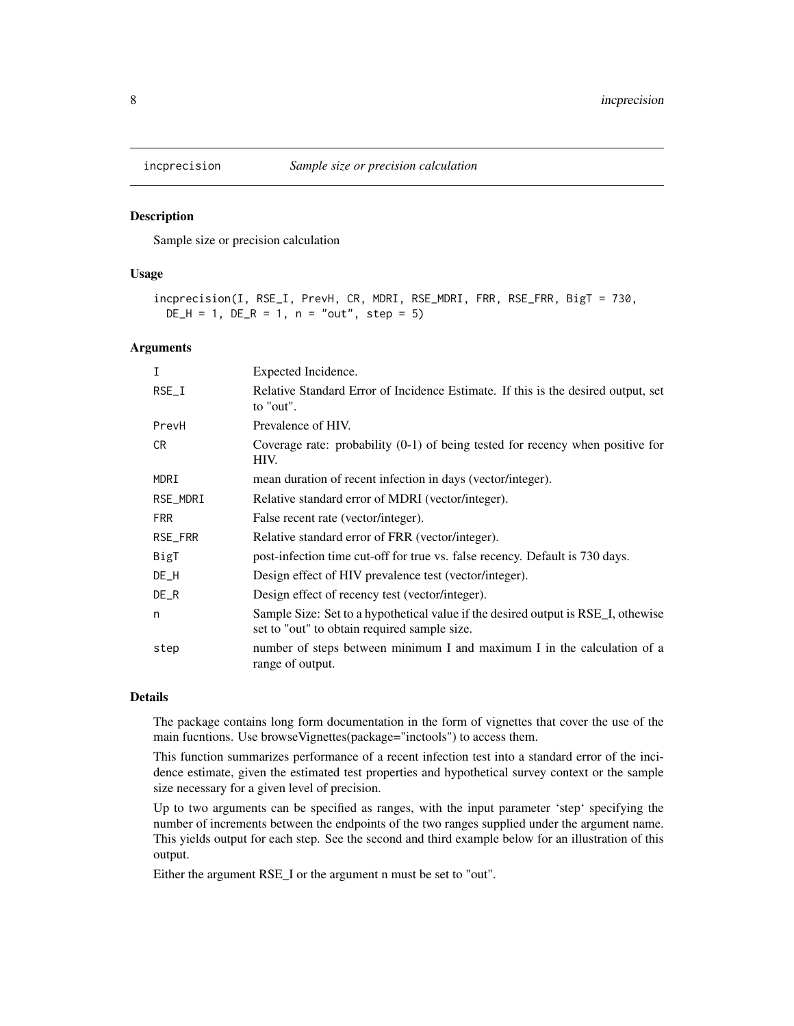<span id="page-7-0"></span>

#### Description

Sample size or precision calculation

#### Usage

incprecision(I, RSE\_I, PrevH, CR, MDRI, RSE\_MDRI, FRR, RSE\_FRR, BigT = 730,  $DE_H = 1$ ,  $DE_R = 1$ ,  $n = "out", step = 5)$ 

# Arguments

| I          | Expected Incidence.                                                                                                               |
|------------|-----------------------------------------------------------------------------------------------------------------------------------|
| $RSE_I$    | Relative Standard Error of Incidence Estimate. If this is the desired output, set<br>to "out".                                    |
| PrevH      | Prevalence of HIV.                                                                                                                |
| CR.        | Coverage rate: probability $(0-1)$ of being tested for recency when positive for<br>HIV.                                          |
| MDRI       | mean duration of recent infection in days (vector/integer).                                                                       |
| RSE_MDRI   | Relative standard error of MDRI (vector/integer).                                                                                 |
| <b>FRR</b> | False recent rate (vector/integer).                                                                                               |
| RSE_FRR    | Relative standard error of FRR (vector/integer).                                                                                  |
| BigT       | post-infection time cut-off for true vs. false recency. Default is 730 days.                                                      |
| $DE_H$     | Design effect of HIV prevalence test (vector/integer).                                                                            |
| $DE_R$     | Design effect of recency test (vector/integer).                                                                                   |
| n          | Sample Size: Set to a hypothetical value if the desired output is RSE_I, othewise<br>set to "out" to obtain required sample size. |
| step       | number of steps between minimum I and maximum I in the calculation of a<br>range of output.                                       |

# Details

The package contains long form documentation in the form of vignettes that cover the use of the main fucntions. Use browseVignettes(package="inctools") to access them.

This function summarizes performance of a recent infection test into a standard error of the incidence estimate, given the estimated test properties and hypothetical survey context or the sample size necessary for a given level of precision.

Up to two arguments can be specified as ranges, with the input parameter 'step' specifying the number of increments between the endpoints of the two ranges supplied under the argument name. This yields output for each step. See the second and third example below for an illustration of this output.

Either the argument RSE\_I or the argument n must be set to "out".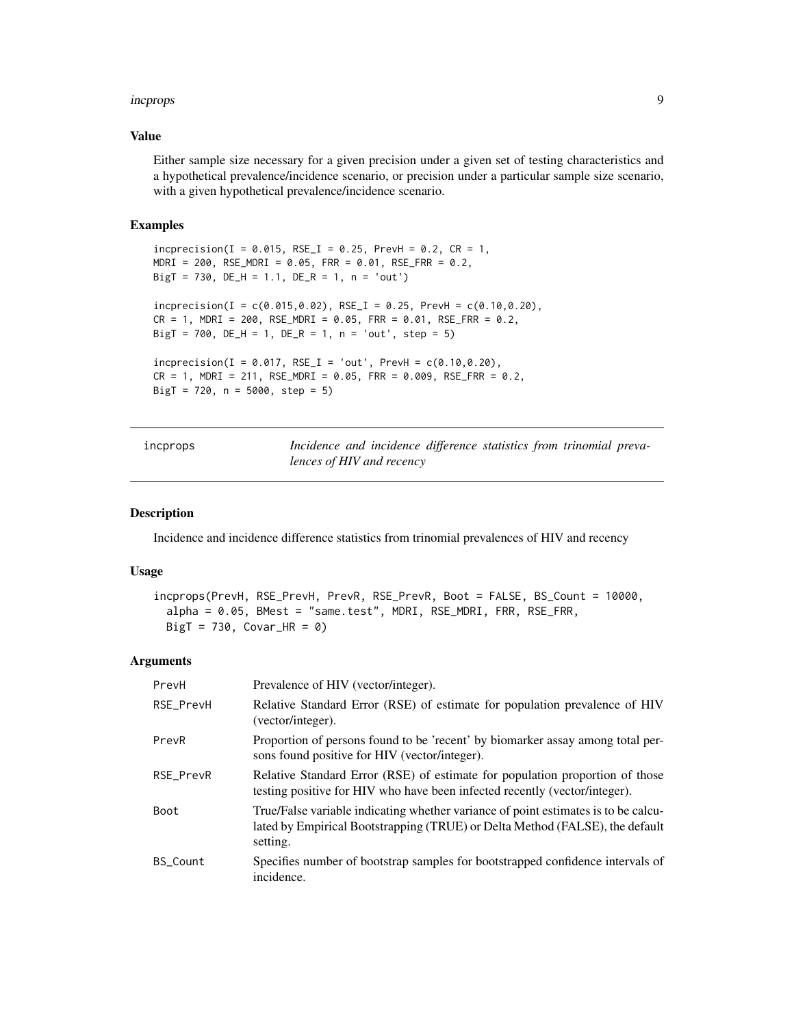#### <span id="page-8-0"></span>incprops 9

#### Value

Either sample size necessary for a given precision under a given set of testing characteristics and a hypothetical prevalence/incidence scenario, or precision under a particular sample size scenario, with a given hypothetical prevalence/incidence scenario.

# Examples

```
inprecision(I = 0.015, RSE_I = 0.25, PrevH = 0.2, CR = 1,MDRI = 200, RSE_MDRI = 0.05, FR = 0.01, RSE_FRR = 0.2,
BigT = 730, DE_H = 1.1, DE_R = 1, n = 'out')
inprecision(I = c(0.015, 0.02), RSE_I = 0.25, PrevH = c(0.10, 0.20),CR = 1, MDRI = 200, RSE_MDRI = 0.05, FRR = 0.01, RSE_FRR = 0.2,
BigT = 700, DE_H = 1, DE_R = 1, n = 'out', step = 5)
inc precision(I = 0.017, RSE_I = 'out', PrevH = c(0.10, 0.20),CR = 1, MDRI = 211, RSE_MDRI = 0.05, FRR = 0.009, RSE_FRR = 0.2,
BigT = 720, n = 5000, step = 5)
```
incprops *Incidence and incidence difference statistics from trinomial prevalences of HIV and recency*

# Description

Incidence and incidence difference statistics from trinomial prevalences of HIV and recency

#### Usage

```
incprops(PrevH, RSE_PrevH, PrevR, RSE_PrevR, Boot = FALSE, BS_Count = 10000,
  alpha = 0.05, BMest = "same.test", MDRI, RSE_MDRI, FRR, RSE_FRR,
 Big = 730, Covar_HR = 0)
```

| PrevH           | Prevalence of HIV (vector/integer).                                                                                                                                            |
|-----------------|--------------------------------------------------------------------------------------------------------------------------------------------------------------------------------|
| RSE_PrevH       | Relative Standard Error (RSE) of estimate for population prevalence of HIV<br>(vector/integer).                                                                                |
| PrevR           | Proportion of persons found to be 'recent' by biomarker assay among total per-<br>sons found positive for HIV (vector/integer).                                                |
| RSE PrevR       | Relative Standard Error (RSE) of estimate for population proportion of those<br>testing positive for HIV who have been infected recently (vector/integer).                     |
| Boot            | True/False variable indicating whether variance of point estimates is to be calcu-<br>lated by Empirical Bootstrapping (TRUE) or Delta Method (FALSE), the default<br>setting. |
| <b>BS Count</b> | Specifies number of bootstrap samples for bootstrapped confidence intervals of<br>incidence.                                                                                   |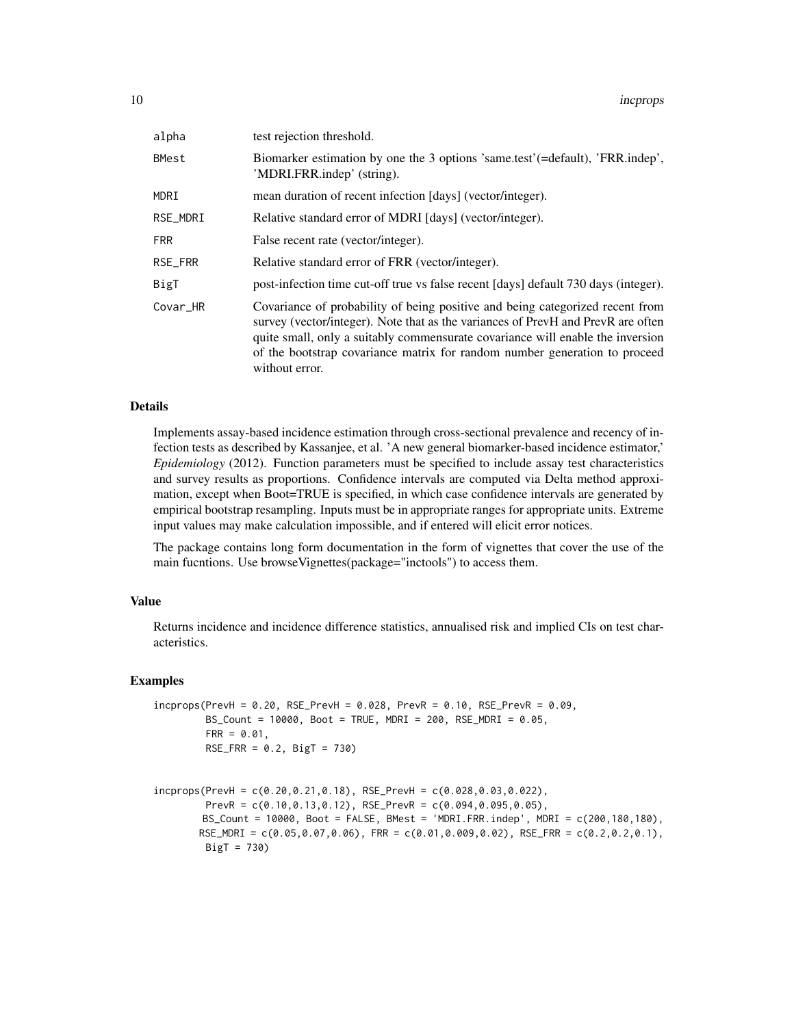| alpha        | test rejection threshold.                                                                                                                                                                                                                                                                                                                           |
|--------------|-----------------------------------------------------------------------------------------------------------------------------------------------------------------------------------------------------------------------------------------------------------------------------------------------------------------------------------------------------|
| <b>BMest</b> | Biomarker estimation by one the 3 options 'same.test' (=default), 'FRR.indep',<br>'MDRI.FRR.indep' (string).                                                                                                                                                                                                                                        |
| MDRI         | mean duration of recent infection [days] (vector/integer).                                                                                                                                                                                                                                                                                          |
| RSE_MDRI     | Relative standard error of MDRI [days] (vector/integer).                                                                                                                                                                                                                                                                                            |
| <b>FRR</b>   | False recent rate (vector/integer).                                                                                                                                                                                                                                                                                                                 |
| RSE_FRR      | Relative standard error of FRR (vector/integer).                                                                                                                                                                                                                                                                                                    |
| BigT         | post-infection time cut-off true vs false recent [days] default 730 days (integer).                                                                                                                                                                                                                                                                 |
| Covar HR     | Covariance of probability of being positive and being categorized recent from<br>survey (vector/integer). Note that as the variances of PrevH and PrevR are often<br>quite small, only a suitably commensurate covariance will enable the inversion<br>of the bootstrap covariance matrix for random number generation to proceed<br>without error. |

#### Details

Implements assay-based incidence estimation through cross-sectional prevalence and recency of infection tests as described by Kassanjee, et al. 'A new general biomarker-based incidence estimator,' *Epidemiology* (2012). Function parameters must be specified to include assay test characteristics and survey results as proportions. Confidence intervals are computed via Delta method approximation, except when Boot=TRUE is specified, in which case confidence intervals are generated by empirical bootstrap resampling. Inputs must be in appropriate ranges for appropriate units. Extreme input values may make calculation impossible, and if entered will elicit error notices.

The package contains long form documentation in the form of vignettes that cover the use of the main fucntions. Use browseVignettes(package="inctools") to access them.

## Value

Returns incidence and incidence difference statistics, annualised risk and implied CIs on test characteristics.

#### Examples

```
incprops(PrevH = 0.20, RSE_PrevH = 0.028, PrevR = 0.10, RSE_PrevR = 0.09,
        BS_Count = 10000, Boot = TRUE, MDRI = 200, RSE_MDRI = 0.05,
        FRR = 0.01,
        RSE_FRR = 0.2, BigT = 730)
```

```
incprops(PrevH = c(0.20, 0.21, 0.18), RSE_PrevH = c(0.028, 0.03, 0.022),PrevR = c(0.10,0.13,0.12), RSE_PrevR = c(0.094,0.095,0.05),
        BS_Count = 10000, Boot = FALSE, BMest = 'MDRI.FRR.indep', MDRI = c(200,180,180),
        RSE_MDRI = c(0.05, 0.07, 0.06), FRR = c(0.01, 0.009, 0.02), RSE_FRR = c(0.2, 0.2, 0.1),
        BigT = 730)
```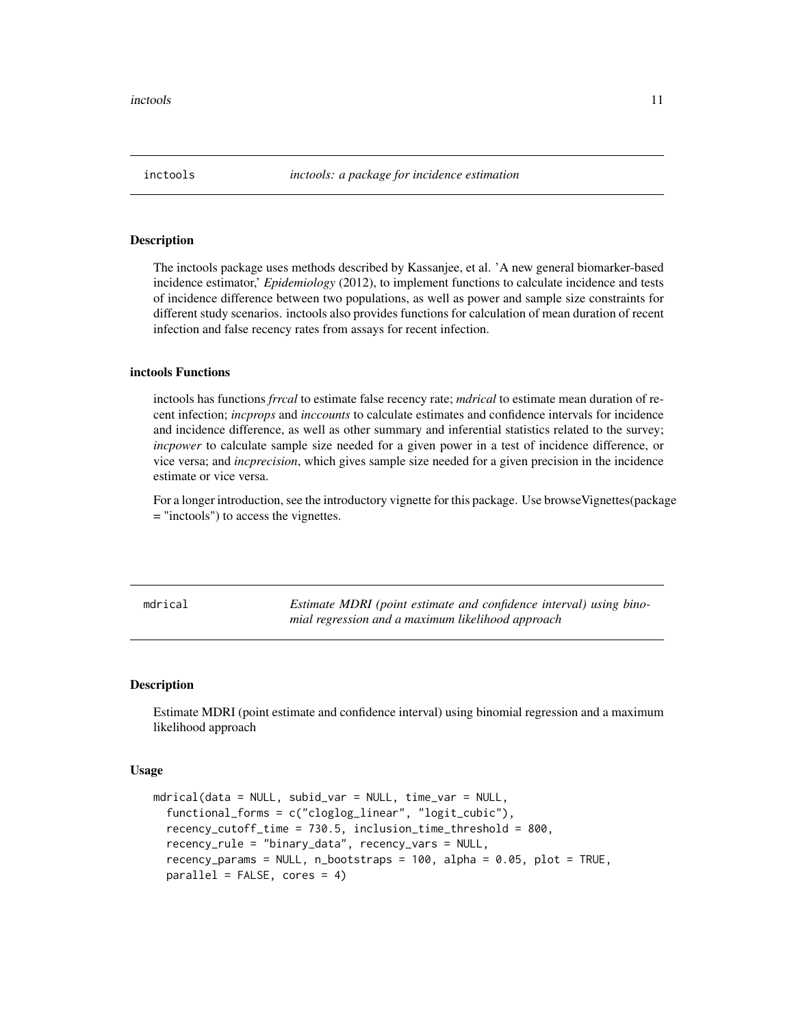<span id="page-10-0"></span>

#### Description

The inctools package uses methods described by Kassanjee, et al. 'A new general biomarker-based incidence estimator,' *Epidemiology* (2012), to implement functions to calculate incidence and tests of incidence difference between two populations, as well as power and sample size constraints for different study scenarios. inctools also provides functions for calculation of mean duration of recent infection and false recency rates from assays for recent infection.

#### inctools Functions

inctools has functions *frrcal* to estimate false recency rate; *mdrical* to estimate mean duration of recent infection; *incprops* and *inccounts* to calculate estimates and confidence intervals for incidence and incidence difference, as well as other summary and inferential statistics related to the survey; *incpower* to calculate sample size needed for a given power in a test of incidence difference, or vice versa; and *incprecision*, which gives sample size needed for a given precision in the incidence estimate or vice versa.

For a longer introduction, see the introductory vignette for this package. Use browseVignettes(package = "inctools") to access the vignettes.

mdrical *Estimate MDRI (point estimate and confidence interval) using binomial regression and a maximum likelihood approach*

# Description

Estimate MDRI (point estimate and confidence interval) using binomial regression and a maximum likelihood approach

# Usage

```
mdrical(data = NULL, subid_var = NULL, time_var = NULL,
  functional_forms = c("cloglog_linear", "logit_cubic"),
  recency_cutoff_time = 730.5, inclusion_time_threshold = 800,
  recency_rule = "binary_data", recency_vars = NULL,
  recency_params = NULL, n_bootstraps = 100, alpha = 0.05, plot = TRUE,
  parallel = FALSE, cores = 4)
```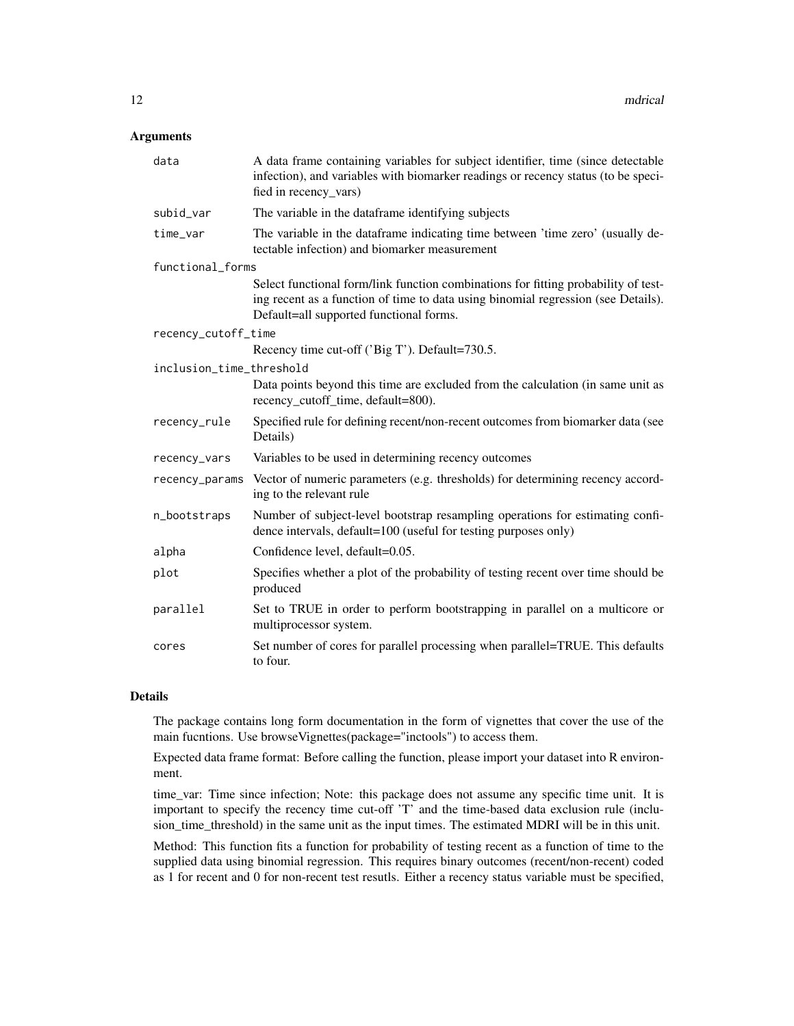# Arguments

| data                     | A data frame containing variables for subject identifier, time (since detectable<br>infection), and variables with biomarker readings or recency status (to be speci-<br>fied in recency_vars)                     |
|--------------------------|--------------------------------------------------------------------------------------------------------------------------------------------------------------------------------------------------------------------|
| subid_var                | The variable in the dataframe identifying subjects                                                                                                                                                                 |
| time_var                 | The variable in the dataframe indicating time between 'time zero' (usually de-<br>tectable infection) and biomarker measurement                                                                                    |
| functional_forms         |                                                                                                                                                                                                                    |
|                          | Select functional form/link function combinations for fitting probability of test-<br>ing recent as a function of time to data using binomial regression (see Details).<br>Default=all supported functional forms. |
| recency_cutoff_time      |                                                                                                                                                                                                                    |
|                          | Recency time cut-off ('Big T'). Default=730.5.                                                                                                                                                                     |
| inclusion_time_threshold |                                                                                                                                                                                                                    |
|                          | Data points beyond this time are excluded from the calculation (in same unit as<br>recency_cutoff_time, default=800).                                                                                              |
| recency_rule             | Specified rule for defining recent/non-recent outcomes from biomarker data (see<br>Details)                                                                                                                        |
| recency_vars             | Variables to be used in determining recency outcomes                                                                                                                                                               |
| recency_params           | Vector of numeric parameters (e.g. thresholds) for determining recency accord-<br>ing to the relevant rule                                                                                                         |
| n_bootstraps             | Number of subject-level bootstrap resampling operations for estimating confi-<br>dence intervals, default=100 (useful for testing purposes only)                                                                   |
| alpha                    | Confidence level, default=0.05.                                                                                                                                                                                    |
| plot                     | Specifies whether a plot of the probability of testing recent over time should be<br>produced                                                                                                                      |
| parallel                 | Set to TRUE in order to perform bootstrapping in parallel on a multicore or<br>multiprocessor system.                                                                                                              |
| cores                    | Set number of cores for parallel processing when parallel=TRUE. This defaults<br>to four.                                                                                                                          |

# Details

The package contains long form documentation in the form of vignettes that cover the use of the main fucntions. Use browseVignettes(package="inctools") to access them.

Expected data frame format: Before calling the function, please import your dataset into R environment.

time\_var: Time since infection; Note: this package does not assume any specific time unit. It is important to specify the recency time cut-off 'T' and the time-based data exclusion rule (inclusion\_time\_threshold) in the same unit as the input times. The estimated MDRI will be in this unit.

Method: This function fits a function for probability of testing recent as a function of time to the supplied data using binomial regression. This requires binary outcomes (recent/non-recent) coded as 1 for recent and 0 for non-recent test resutls. Either a recency status variable must be specified,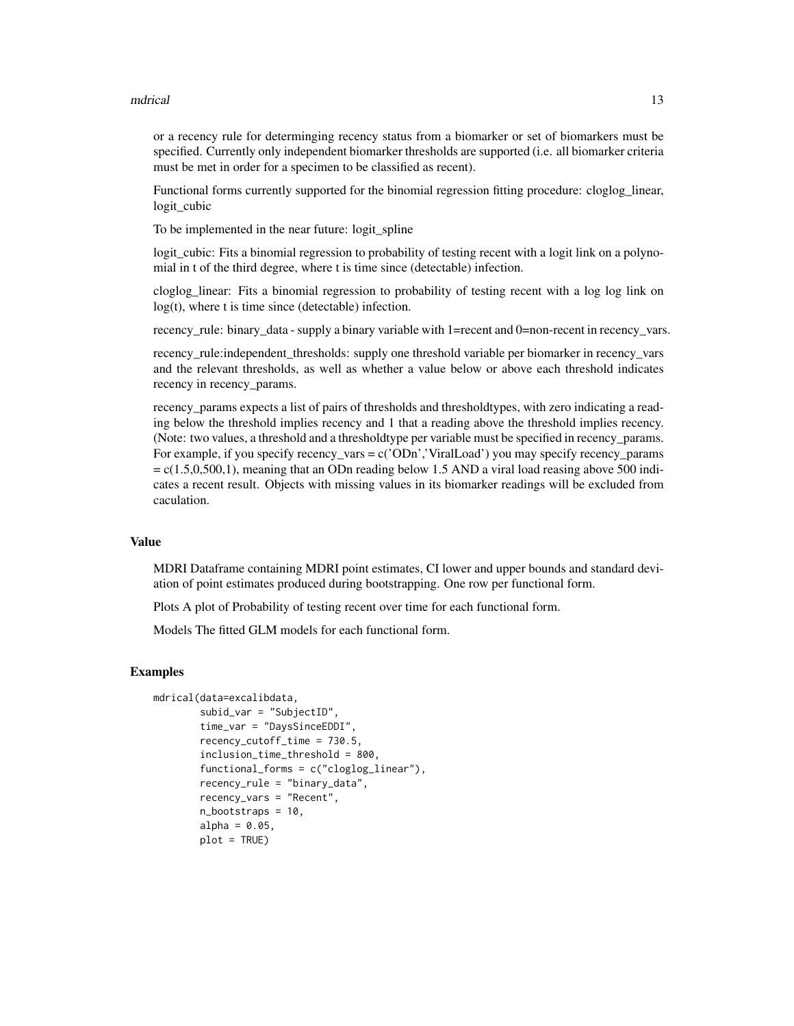#### mdrical and the control of the control of the control of the control of the control of the control of the control of the control of the control of the control of the control of the control of the control of the control of

or a recency rule for determinging recency status from a biomarker or set of biomarkers must be specified. Currently only independent biomarker thresholds are supported (i.e. all biomarker criteria must be met in order for a specimen to be classified as recent).

Functional forms currently supported for the binomial regression fitting procedure: cloglog\_linear, logit\_cubic

To be implemented in the near future: logit\_spline

logit cubic: Fits a binomial regression to probability of testing recent with a logit link on a polynomial in t of the third degree, where t is time since (detectable) infection.

cloglog\_linear: Fits a binomial regression to probability of testing recent with a log log link on log(t), where t is time since (detectable) infection.

recency\_rule: binary\_data - supply a binary variable with 1=recent and 0=non-recent in recency\_vars.

recency\_rule:independent\_thresholds: supply one threshold variable per biomarker in recency\_vars and the relevant thresholds, as well as whether a value below or above each threshold indicates recency in recency\_params.

recency\_params expects a list of pairs of thresholds and thresholdtypes, with zero indicating a reading below the threshold implies recency and 1 that a reading above the threshold implies recency. (Note: two values, a threshold and a thresholdtype per variable must be specified in recency\_params. For example, if you specify recency\_vars =  $c('ODn')'$  ViralLoad') you may specify recency\_params  $= c(1.5,0,500,1)$ , meaning that an ODn reading below 1.5 AND a viral load reasing above 500 indicates a recent result. Objects with missing values in its biomarker readings will be excluded from caculation.

# Value

MDRI Dataframe containing MDRI point estimates, CI lower and upper bounds and standard deviation of point estimates produced during bootstrapping. One row per functional form.

Plots A plot of Probability of testing recent over time for each functional form.

Models The fitted GLM models for each functional form.

#### Examples

```
mdrical(data=excalibdata,
       subid_var = "SubjectID",
        time_var = "DaysSinceEDDI",
       recency_cutoff_time = 730.5,
       inclusion_time_threshold = 800,
       functional_forms = c("cloglog_linear"),
       recency_rule = "binary_data",
       recency_vars = "Recent",
       n_bootstraps = 10,
       alpha = 0.05,
       plot = TRUE)
```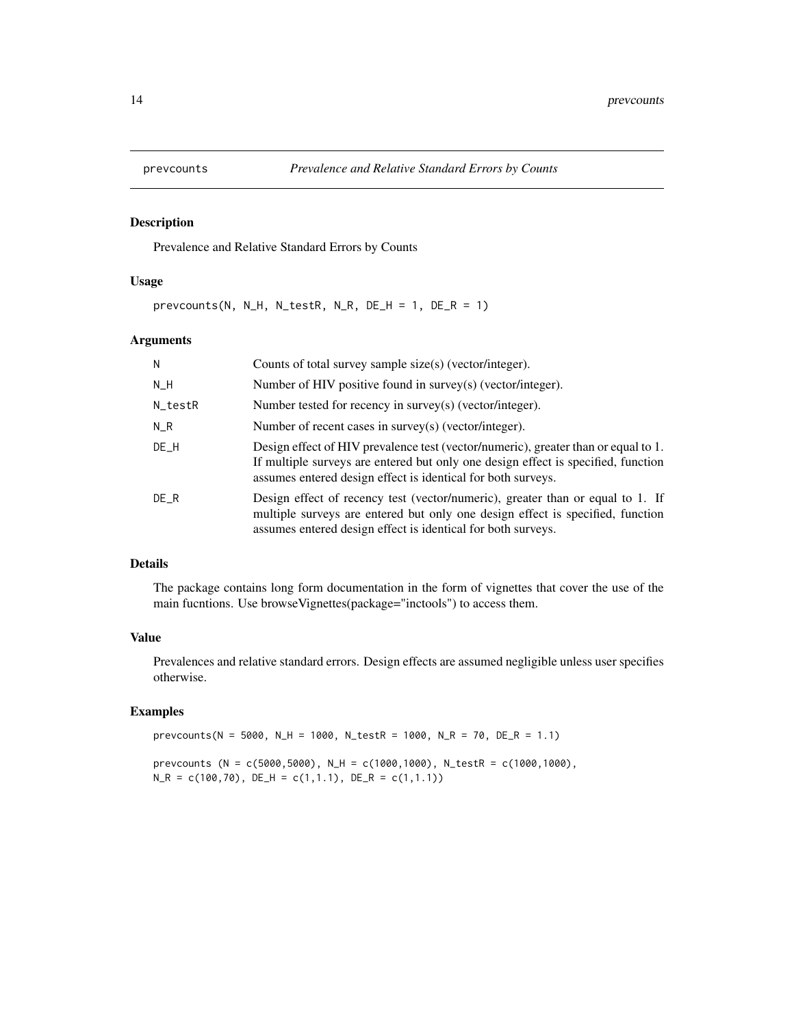<span id="page-13-0"></span>

# Description

Prevalence and Relative Standard Errors by Counts

#### Usage

prevcounts(N, N\_H, N\_testR, N\_R, DE\_H = 1, DE\_R = 1)

# Arguments

| N       | Counts of total survey sample size(s) (vector/integer).                                                                                                                                                                                 |
|---------|-----------------------------------------------------------------------------------------------------------------------------------------------------------------------------------------------------------------------------------------|
| N_H     | Number of HIV positive found in survey(s) (vector/integer).                                                                                                                                                                             |
| N_testR | Number tested for recency in survey(s) (vector/integer).                                                                                                                                                                                |
| $N_R$   | Number of recent cases in survey(s) (vector/integer).                                                                                                                                                                                   |
| $DE_H$  | Design effect of HIV prevalence test (vector/numeric), greater than or equal to 1.<br>If multiple surveys are entered but only one design effect is specified, function<br>assumes entered design effect is identical for both surveys. |
| DE R    | Design effect of recency test (vector/numeric), greater than or equal to 1. If<br>multiple surveys are entered but only one design effect is specified, function<br>assumes entered design effect is identical for both surveys.        |

# Details

The package contains long form documentation in the form of vignettes that cover the use of the main fucntions. Use browseVignettes(package="inctools") to access them.

# Value

Prevalences and relative standard errors. Design effects are assumed negligible unless user specifies otherwise.

# Examples

prevcounts(N = 5000, N\_H = 1000, N\_testR = 1000, N\_R = 70, DE\_R = 1.1) prevcounts (N = c(5000,5000), N\_H = c(1000,1000), N\_testR = c(1000,1000),  $N_R = c(100, 70)$ ,  $DE_H = c(1, 1.1)$ ,  $DE_R = c(1, 1.1)$